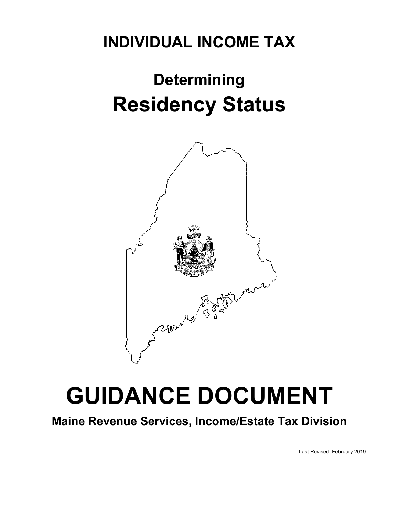### **INDIVIDUAL INCOME TAX**

## **Determining Residency Status**



# **GUIDANCE DOCUMENT**

**Maine Revenue Services, Income/Estate Tax Division** 

Last Revised: February 2019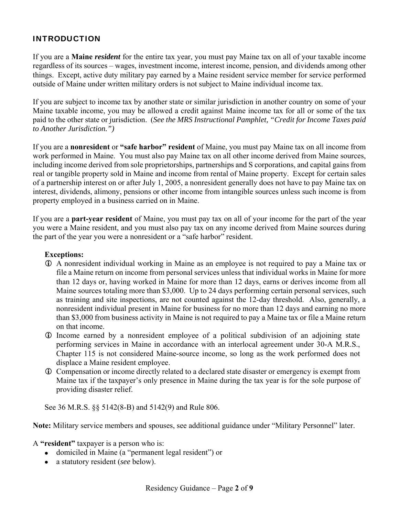#### INTRODUCTION

If you are a **Maine** *resident* for the entire tax year, you must pay Maine tax on all of your taxable income regardless of its sources – wages, investment income, interest income, pension, and dividends among other things. Except, active duty military pay earned by a Maine resident service member for service performed outside of Maine under written military orders is not subject to Maine individual income tax.

If you are subject to income tax by another state or similar jurisdiction in another country on some of your Maine taxable income, you may be allowed a credit against Maine income tax for all or some of the tax paid to the other state or jurisdiction. (*See the MRS Instructional Pamphlet, "Credit for Income Taxes paid to Another Jurisdiction.")*

If you are a **nonresident** or **"safe harbor" resident** of Maine, you must pay Maine tax on all income from work performed in Maine. You must also pay Maine tax on all other income derived from Maine sources, including income derived from sole proprietorships, partnerships and S corporations, and capital gains from real or tangible property sold in Maine and income from rental of Maine property. Except for certain sales of a partnership interest on or after July 1, 2005, a nonresident generally does not have to pay Maine tax on interest, dividends, alimony, pensions or other income from intangible sources unless such income is from property employed in a business carried on in Maine.

If you are a **part-year resident** of Maine, you must pay tax on all of your income for the part of the year you were a Maine resident, and you must also pay tax on any income derived from Maine sources during the part of the year you were a nonresident or a "safe harbor" resident.

#### **Exceptions:**

- A nonresident individual working in Maine as an employee is not required to pay a Maine tax or file a Maine return on income from personal services unless that individual works in Maine for more than 12 days or, having worked in Maine for more than 12 days, earns or derives income from all Maine sources totaling more than \$3,000. Up to 24 days performing certain personal services, such as training and site inspections, are not counted against the 12-day threshold. Also, generally, a nonresident individual present in Maine for business for no more than 12 days and earning no more than \$3,000 from business activity in Maine is not required to pay a Maine tax or file a Maine return on that income.
- Income earned by a nonresident employee of a political subdivision of an adjoining state performing services in Maine in accordance with an interlocal agreement under 30-A M.R.S., Chapter 115 is not considered Maine-source income, so long as the work performed does not displace a Maine resident employee.
- Compensation or income directly related to a declared state disaster or emergency is exempt from Maine tax if the taxpayer's only presence in Maine during the tax year is for the sole purpose of providing disaster relief.

See 36 M.R.S. §§ 5142(8-B) and 5142(9) and Rule 806.

**Note:** Military service members and spouses, see additional guidance under "Military Personnel" later.

A **"resident"** taxpayer is a person who is:

- domiciled in Maine (a "permanent legal resident") or
- a statutory resident (*see* below).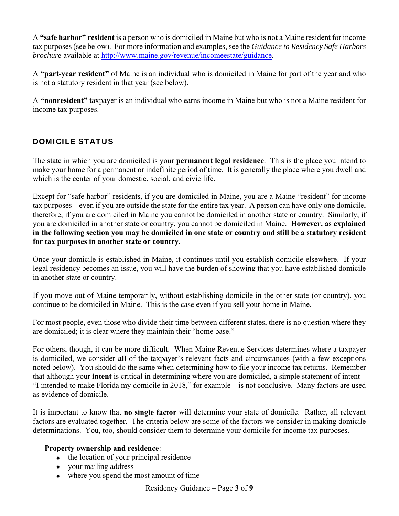A **"safe harbor" resident** is a person who is domiciled in Maine but who is not a Maine resident for income tax purposes (see below). For more information and examples, see the *Guidance to Residency Safe Harbors brochure* available at http://www.maine.gov/revenue/incomeestate/guidance.

A **"part-year resident"** of Maine is an individual who is domiciled in Maine for part of the year and who is not a statutory resident in that year (see below).

A **"nonresident"** taxpayer is an individual who earns income in Maine but who is not a Maine resident for income tax purposes.

#### DOMICILE STATUS

The state in which you are domiciled is your **permanent legal residence**.This is the place you intend to make your home for a permanent or indefinite period of time. It is generally the place where you dwell and which is the center of your domestic, social, and civic life.

Except for "safe harbor" residents, if you are domiciled in Maine, you are a Maine "resident" for income tax purposes – even if you are outside the state for the entire tax year. A person can have only one domicile, therefore, if you are domiciled in Maine you cannot be domiciled in another state or country. Similarly, if you are domiciled in another state or country, you cannot be domiciled in Maine. **However, as explained in the following section you may be domiciled in one state or country and still be a statutory resident for tax purposes in another state or country.**

Once your domicile is established in Maine, it continues until you establish domicile elsewhere. If your legal residency becomes an issue, you will have the burden of showing that you have established domicile in another state or country.

If you move out of Maine temporarily, without establishing domicile in the other state (or country), you continue to be domiciled in Maine. This is the case even if you sell your home in Maine.

For most people, even those who divide their time between different states, there is no question where they are domiciled; it is clear where they maintain their "home base."

For others, though, it can be more difficult. When Maine Revenue Services determines where a taxpayer is domiciled, we consider **all** of the taxpayer's relevant facts and circumstances (with a few exceptions noted below). You should do the same when determining how to file your income tax returns. Remember that although your **intent** is critical in determining where you are domiciled, a simple statement of intent – "I intended to make Florida my domicile in 2018," for example – is not conclusive. Many factors are used as evidence of domicile.

It is important to know that **no single factor** will determine your state of domicile. Rather, all relevant factors are evaluated together. The criteria below are some of the factors we consider in making domicile determinations. You, too, should consider them to determine your domicile for income tax purposes.

#### **Property ownership and residence**:

- the location of your principal residence
- your mailing address
- where you spend the most amount of time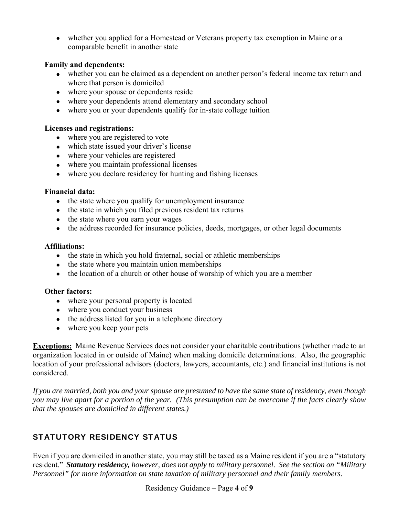whether you applied for a Homestead or Veterans property tax exemption in Maine or a comparable benefit in another state

#### **Family and dependents:**

- whether you can be claimed as a dependent on another person's federal income tax return and where that person is domiciled
- where your spouse or dependents reside
- where your dependents attend elementary and secondary school
- where you or your dependents qualify for in-state college tuition

#### **Licenses and registrations:**

- where you are registered to vote
- which state issued your driver's license
- where your vehicles are registered
- where you maintain professional licenses
- where you declare residency for hunting and fishing licenses

#### **Financial data:**

- the state where you qualify for unemployment insurance
- the state in which you filed previous resident tax returns
- the state where you earn your wages
- the address recorded for insurance policies, deeds, mortgages, or other legal documents

#### **Affiliations:**

- the state in which you hold fraternal, social or athletic memberships
- the state where you maintain union memberships
- the location of a church or other house of worship of which you are a member

#### **Other factors:**

- where your personal property is located
- where you conduct your business
- the address listed for you in a telephone directory
- where you keep your pets

**Exceptions:** Maine Revenue Services does not consider your charitable contributions (whether made to an organization located in or outside of Maine) when making domicile determinations. Also, the geographic location of your professional advisors (doctors, lawyers, accountants, etc.) and financial institutions is not considered.

*If you are married, both you and your spouse are presumed to have the same state of residency, even though you may live apart for a portion of the year. (This presumption can be overcome if the facts clearly show that the spouses are domiciled in different states.)*

#### STATUTORY RESIDENCY STATUS

Even if you are domiciled in another state, you may still be taxed as a Maine resident if you are a "statutory resident." *Statutory residency, however, does not apply to military personnel. See the section on "Military Personnel" for more information on state taxation of military personnel and their family members*.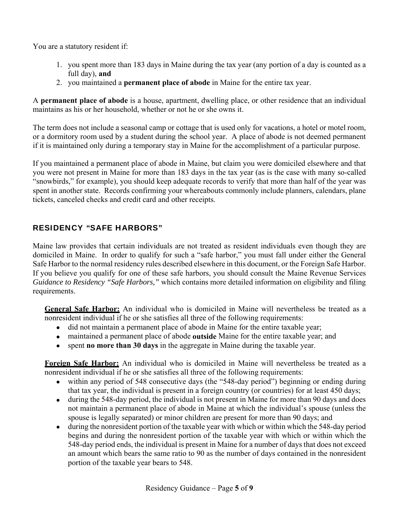You are a statutory resident if:

- 1. you spent more than 183 days in Maine during the tax year (any portion of a day is counted as a full day), **and**
- 2. you maintained a **permanent place of abode** in Maine for the entire tax year.

A **permanent place of abode** is a house, apartment, dwelling place, or other residence that an individual maintains as his or her household, whether or not he or she owns it.

The term does not include a seasonal camp or cottage that is used only for vacations, a hotel or motel room, or a dormitory room used by a student during the school year. A place of abode is not deemed permanent if it is maintained only during a temporary stay in Maine for the accomplishment of a particular purpose.

If you maintained a permanent place of abode in Maine, but claim you were domiciled elsewhere and that you were not present in Maine for more than 183 days in the tax year (as is the case with many so-called "snowbirds," for example), you should keep adequate records to verify that more than half of the year was spent in another state. Records confirming your whereabouts commonly include planners, calendars, plane tickets, canceled checks and credit card and other receipts.

#### RESIDENCY "SAFE HARBORS"

Maine law provides that certain individuals are not treated as resident individuals even though they are domiciled in Maine. In order to qualify for such a "safe harbor," you must fall under either the General Safe Harbor to the normal residency rules described elsewhere in this document, or the Foreign Safe Harbor. If you believe you qualify for one of these safe harbors, you should consult the Maine Revenue Services *Guidance to Residency "Safe Harbors,"* which contains more detailed information on eligibility and filing requirements.

**General Safe Harbor:** An individual who is domiciled in Maine will nevertheless be treated as a nonresident individual if he or she satisfies all three of the following requirements:

- did not maintain a permanent place of abode in Maine for the entire taxable year;
- maintained a permanent place of abode **outside** Maine for the entire taxable year; and
- spent **no more than 30 days** in the aggregate in Maine during the taxable year.

**Foreign Safe Harbor:** An individual who is domiciled in Maine will nevertheless be treated as a nonresident individual if he or she satisfies all three of the following requirements:

- within any period of 548 consecutive days (the "548-day period") beginning or ending during that tax year, the individual is present in a foreign country (or countries) for at least 450 days;
- during the 548-day period, the individual is not present in Maine for more than 90 days and does not maintain a permanent place of abode in Maine at which the individual's spouse (unless the spouse is legally separated) or minor children are present for more than 90 days; and
- during the nonresident portion of the taxable year with which or within which the 548-day period begins and during the nonresident portion of the taxable year with which or within which the 548-day period ends, the individual is present in Maine for a number of days that does not exceed an amount which bears the same ratio to 90 as the number of days contained in the nonresident portion of the taxable year bears to 548.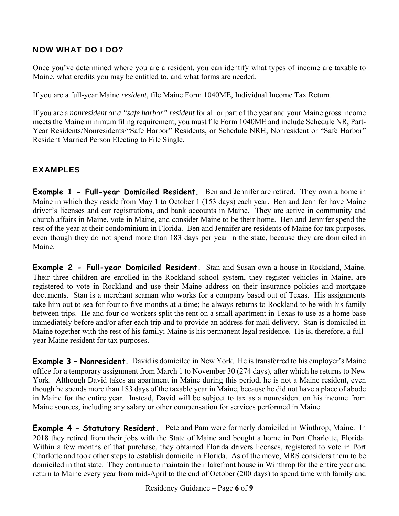#### NOW WHAT DO I DO?

Once you've determined where you are a resident, you can identify what types of income are taxable to Maine, what credits you may be entitled to, and what forms are needed.

If you are a full-year Maine *resident*, file Maine Form 1040ME, Individual Income Tax Return.

If you are a *nonresident or a "safe harbor" resident* for all or part of the year and your Maine gross income meets the Maine minimum filing requirement, you must file Form 1040ME and include Schedule NR, Part-Year Residents/Nonresidents/"Safe Harbor" Residents, or Schedule NRH, Nonresident or "Safe Harbor" Resident Married Person Electing to File Single.

#### EXAMPLES

**Example 1 - Full-year Domiciled Resident.** Ben and Jennifer are retired. They own a home in Maine in which they reside from May 1 to October 1 (153 days) each year. Ben and Jennifer have Maine driver's licenses and car registrations, and bank accounts in Maine. They are active in community and church affairs in Maine, vote in Maine, and consider Maine to be their home. Ben and Jennifer spend the rest of the year at their condominium in Florida. Ben and Jennifer are residents of Maine for tax purposes, even though they do not spend more than 183 days per year in the state, because they are domiciled in Maine.

**Example 2 - Full-year Domiciled Resident.** Stan and Susan own a house in Rockland, Maine. Their three children are enrolled in the Rockland school system, they register vehicles in Maine, are registered to vote in Rockland and use their Maine address on their insurance policies and mortgage documents. Stan is a merchant seaman who works for a company based out of Texas. His assignments take him out to sea for four to five months at a time; he always returns to Rockland to be with his family between trips. He and four co-workers split the rent on a small apartment in Texas to use as a home base immediately before and/or after each trip and to provide an address for mail delivery. Stan is domiciled in Maine together with the rest of his family; Maine is his permanent legal residence. He is, therefore, a fullyear Maine resident for tax purposes.

**Example 3 – Nonresident.** David is domiciled in New York. He is transferred to his employer's Maine office for a temporary assignment from March 1 to November 30 (274 days), after which he returns to New York. Although David takes an apartment in Maine during this period, he is not a Maine resident, even though he spends more than 183 days of the taxable year in Maine, because he did not have a place of abode in Maine for the entire year. Instead, David will be subject to tax as a nonresident on his income from Maine sources, including any salary or other compensation for services performed in Maine.

**Example 4 - Statutory Resident.** Pete and Pam were formerly domiciled in Winthrop, Maine. In 2018 they retired from their jobs with the State of Maine and bought a home in Port Charlotte, Florida. Within a few months of that purchase, they obtained Florida drivers licenses, registered to vote in Port Charlotte and took other steps to establish domicile in Florida. As of the move, MRS considers them to be domiciled in that state. They continue to maintain their lakefront house in Winthrop for the entire year and return to Maine every year from mid-April to the end of October (200 days) to spend time with family and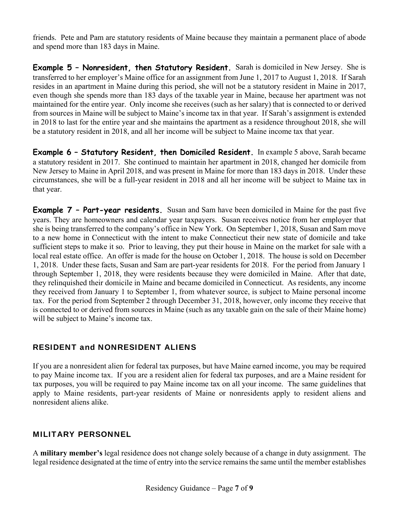friends. Pete and Pam are statutory residents of Maine because they maintain a permanent place of abode and spend more than 183 days in Maine.

**Example 5 - Nonresident, then Statutory Resident.** Sarah is domiciled in New Jersey. She is transferred to her employer's Maine office for an assignment from June 1, 2017 to August 1, 2018. If Sarah resides in an apartment in Maine during this period, she will not be a statutory resident in Maine in 2017, even though she spends more than 183 days of the taxable year in Maine, because her apartment was not maintained for the entire year. Only income she receives (such as her salary) that is connected to or derived from sources in Maine will be subject to Maine's income tax in that year. If Sarah's assignment is extended in 2018 to last for the entire year and she maintains the apartment as a residence throughout 2018, she will be a statutory resident in 2018, and all her income will be subject to Maine income tax that year.

**Example 6 – Statutory Resident, then Domiciled Resident.** In example 5 above, Sarah became a statutory resident in 2017. She continued to maintain her apartment in 2018, changed her domicile from New Jersey to Maine in April 2018, and was present in Maine for more than 183 days in 2018. Under these circumstances, she will be a full-year resident in 2018 and all her income will be subject to Maine tax in that year.

**Example 7 – Part-year residents.** Susan and Sam have been domiciled in Maine for the past five years. They are homeowners and calendar year taxpayers. Susan receives notice from her employer that she is being transferred to the company's office in New York. On September 1, 2018, Susan and Sam move to a new home in Connecticut with the intent to make Connecticut their new state of domicile and take sufficient steps to make it so. Prior to leaving, they put their house in Maine on the market for sale with a local real estate office. An offer is made for the house on October 1, 2018. The house is sold on December 1, 2018. Under these facts, Susan and Sam are part-year residents for 2018. For the period from January 1 through September 1, 2018, they were residents because they were domiciled in Maine. After that date, they relinquished their domicile in Maine and became domiciled in Connecticut. As residents, any income they received from January 1 to September 1, from whatever source, is subject to Maine personal income tax. For the period from September 2 through December 31, 2018, however, only income they receive that is connected to or derived from sources in Maine (such as any taxable gain on the sale of their Maine home) will be subject to Maine's income tax.

#### RESIDENT and NONRESIDENT ALIENS

If you are a nonresident alien for federal tax purposes, but have Maine earned income, you may be required to pay Maine income tax. If you are a resident alien for federal tax purposes, and are a Maine resident for tax purposes, you will be required to pay Maine income tax on all your income. The same guidelines that apply to Maine residents, part-year residents of Maine or nonresidents apply to resident aliens and nonresident aliens alike.

#### MILITARY PERSONNEL

A **military member's** legal residence does not change solely because of a change in duty assignment. The legal residence designated at the time of entry into the service remains the same until the member establishes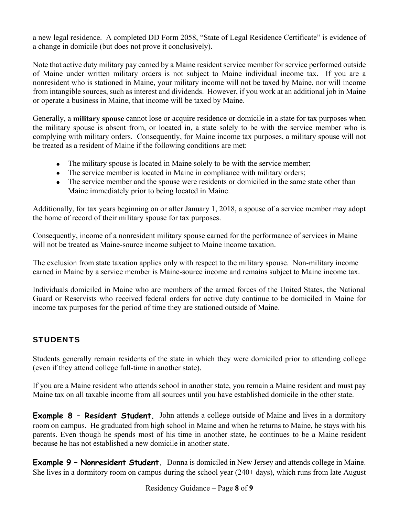a new legal residence. A completed DD Form 2058, "State of Legal Residence Certificate" is evidence of a change in domicile (but does not prove it conclusively).

Note that active duty military pay earned by a Maine resident service member for service performed outside of Maine under written military orders is not subject to Maine individual income tax. If you are a nonresident who is stationed in Maine, your military income will not be taxed by Maine, nor will income from intangible sources, such as interest and dividends. However, if you work at an additional job in Maine or operate a business in Maine, that income will be taxed by Maine.

Generally, a **military spouse** cannot lose or acquire residence or domicile in a state for tax purposes when the military spouse is absent from, or located in, a state solely to be with the service member who is complying with military orders. Consequently, for Maine income tax purposes, a military spouse will not be treated as a resident of Maine if the following conditions are met:

- The military spouse is located in Maine solely to be with the service member;
- The service member is located in Maine in compliance with military orders;
- The service member and the spouse were residents or domiciled in the same state other than Maine immediately prior to being located in Maine.

Additionally, for tax years beginning on or after January 1, 2018, a spouse of a service member may adopt the home of record of their military spouse for tax purposes.

Consequently, income of a nonresident military spouse earned for the performance of services in Maine will not be treated as Maine-source income subject to Maine income taxation.

The exclusion from state taxation applies only with respect to the military spouse. Non-military income earned in Maine by a service member is Maine-source income and remains subject to Maine income tax.

Individuals domiciled in Maine who are members of the armed forces of the United States, the National Guard or Reservists who received federal orders for active duty continue to be domiciled in Maine for income tax purposes for the period of time they are stationed outside of Maine.

#### **STUDENTS**

Students generally remain residents of the state in which they were domiciled prior to attending college (even if they attend college full-time in another state).

If you are a Maine resident who attends school in another state, you remain a Maine resident and must pay Maine tax on all taxable income from all sources until you have established domicile in the other state.

**Example 8 - Resident Student.** John attends a college outside of Maine and lives in a dormitory room on campus. He graduated from high school in Maine and when he returns to Maine, he stays with his parents. Even though he spends most of his time in another state, he continues to be a Maine resident because he has not established a new domicile in another state.

**Example 9 – Nonresident Student.** Donna is domiciled in New Jersey and attends college in Maine. She lives in a dormitory room on campus during the school year (240+ days), which runs from late August